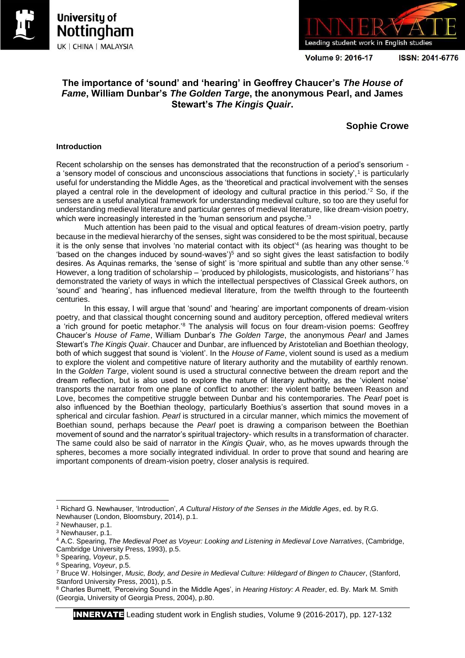



Volume 9: 2016-17

ISSN: 2041-6776

# **The importance of 'sound' and 'hearing' in Geoffrey Chaucer's** *The House of Fame***, William Dunbar's** *The Golden Targe***, the anonymous Pearl, and James Stewart's** *The Kingis Quair***.**

## **Sophie Crowe**

### **Introduction**

Recent scholarship on the senses has demonstrated that the reconstruction of a period's sensorium a 'sensory model of conscious and unconscious associations that functions in society',<sup>1</sup> is particularly useful for understanding the Middle Ages, as the 'theoretical and practical involvement with the senses played a central role in the development of ideology and cultural practice in this period.'<sup>2</sup> So, if the senses are a useful analytical framework for understanding medieval culture, so too are they useful for understanding medieval literature and particular genres of medieval literature, like dream-vision poetry, which were increasingly interested in the 'human sensorium and psyche.<sup>'3</sup>

Much attention has been paid to the visual and optical features of dream-vision poetry, partly because in the medieval hierarchy of the senses, sight was considered to be the most spiritual, because it is the only sense that involves 'no material contact with its object<sup>'4</sup> (as hearing was thought to be 'based on the changes induced by sound-waves')<sup>5</sup> and so sight gives the least satisfaction to bodily desires. As Aquinas remarks, the 'sense of sight' is 'more spiritual and subtle than any other sense.'<sup>6</sup> However, a long tradition of scholarship – 'produced by philologists, musicologists, and historians'<sup>7</sup> has demonstrated the variety of ways in which the intellectual perspectives of Classical Greek authors, on 'sound' and 'hearing', has influenced medieval literature, from the twelfth through to the fourteenth centuries.

In this essay, I will argue that 'sound' and 'hearing' are important components of dream-vision poetry, and that classical thought concerning sound and auditory perception, offered medieval writers a 'rich ground for poetic metaphor.'<sup>8</sup> The analysis will focus on four dream-vision poems: Geoffrey Chaucer's *House of Fame*, William Dunbar's *The Golden Targe*, the anonymous *Pearl* and James Stewart's *The Kingis Quair*. Chaucer and Dunbar, are influenced by Aristotelian and Boethian theology, both of which suggest that sound is 'violent'. In the *House of Fame*, violent sound is used as a medium to explore the violent and competitive nature of literary authority and the mutability of earthly renown. In the *Golden Targe*, violent sound is used a structural connective between the dream report and the dream reflection, but is also used to explore the nature of literary authority, as the 'violent noise' transports the narrator from one plane of conflict to another: the violent battle between Reason and Love, becomes the competitive struggle between Dunbar and his contemporaries. The *Pearl* poet is also influenced by the Boethian theology, particularly Boethius's assertion that sound moves in a spherical and circular fashion. *Pearl* is structured in a circular manner, which mimics the movement of Boethian sound, perhaps because the *Pearl* poet is drawing a comparison between the Boethian movement of sound and the narrator's spiritual trajectory- which results in a transformation of character. The same could also be said of narrator in the *Kingis Quair*, who, as he moves upwards through the spheres, becomes a more socially integrated individual. In order to prove that sound and hearing are important components of dream-vision poetry, closer analysis is required.

**<sup>.</sup>** <sup>1</sup> Richard G. Newhauser, 'Introduction', *A Cultural History of the Senses in the Middle Ages*, ed. by R.G. Newhauser (London, Bloomsbury, 2014), p.1.

<sup>2</sup> Newhauser, p.1.

<sup>3</sup> Newhauser, p.1.

<sup>4</sup> A.C. Spearing, *The Medieval Poet as Voyeur: Looking and Listening in Medieval Love Narratives*, (Cambridge, Cambridge University Press, 1993), p.5.

<sup>5</sup> Spearing, *Voyeur*, p.5.

<sup>6</sup> Spearing, *Voyeur*, p.5.

<sup>7</sup> Bruce W. Holsinger, *Music, Body, and Desire in Medieval Culture: Hildegard of Bingen to Chaucer*, (Stanford, Stanford University Press, 2001), p.5.

<sup>8</sup> Charles Burnett, 'Perceiving Sound in the Middle Ages', in *Hearing History: A Reader*, ed. By. Mark M. Smith (Georgia, University of Georgia Press, 2004), p.80.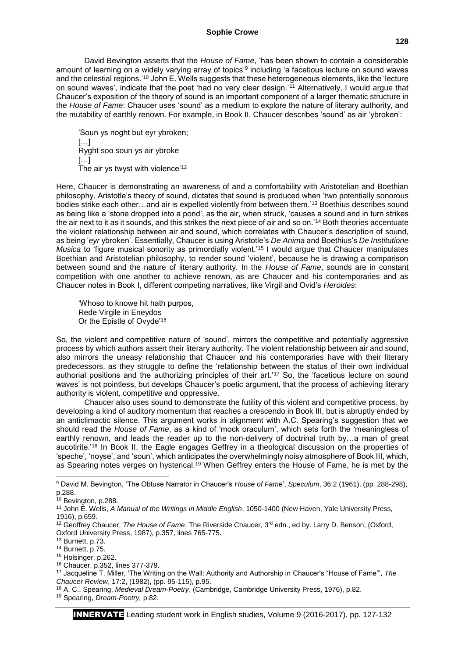#### **Sophie Crowe**

David Bevington asserts that the *House of Fame*, 'has been shown to contain a considerable amount of learning on a widely varying array of topics'<sup>9</sup> including 'a facetious lecture on sound waves and the celestial regions.'<sup>10</sup> John E. Wells suggests that these heterogeneous elements, like the 'lecture on sound waves', indicate that the poet 'had no very clear design.'<sup>11</sup> Alternatively, I would argue that Chaucer's exposition of the theory of sound is an important component of a larger thematic structure in the *House of Fame*: Chaucer uses 'sound' as a medium to explore the nature of literary authority, and the mutability of earthly renown. For example, in Book II, Chaucer describes 'sound' as air 'ybroken':

'Soun ys noght but eyr ybroken;  $\left[\ldots\right]$ Ryght soo soun ys air ybroke […] The air ys twyst with violence'<sup>12</sup>

Here, Chaucer is demonstrating an awareness of and a comfortability with Aristotelian and Boethian philosophy. Aristotle's theory of sound, dictates that sound is produced when 'two potentially sonorous bodies strike each other…and air is expelled violently from between them.'<sup>13</sup> Boethius describes sound as being like a 'stone dropped into a pond', as the air, when struck, 'causes a sound and in turn strikes the air next to it as it sounds, and this strikes the next piece of air and so on.'<sup>14</sup> Both theories accentuate the violent relationship between air and sound, which correlates with Chaucer's description of sound, as being '*eyr* ybroken'. Essentially, Chaucer is using Aristotle's *De Anima* and Boethius's *De Institutione Musica* to 'figure musical sonority as primordially violent.<sup>'15</sup> I would argue that Chaucer manipulates Boethian and Aristotelian philosophy, to render sound 'violent', because he is drawing a comparison between sound and the nature of literary authority. In the *House of Fame*, sounds are in constant competition with one another to achieve renown, as are Chaucer and his contemporaries and as Chaucer notes in Book I, different competing narratives, like Virgil and Ovid's *Heroides*:

'Whoso to knowe hit hath purpos, Rede Virgile in Eneydos Or the Epistle of Ovyde'<sup>16</sup>

So, the violent and competitive nature of 'sound', mirrors the competitive and potentially aggressive process by which authors assert their literary authority. The violent relationship between air and sound, also mirrors the uneasy relationship that Chaucer and his contemporaries have with their literary predecessors, as they struggle to define the 'relationship between the status of their own individual authorial positions and the authorizing principles of their art.'<sup>17</sup> So, the 'facetious lecture on sound waves' is not pointless, but develops Chaucer's poetic argument, that the process of achieving literary authority is violent, competitive and oppressive.

Chaucer also uses sound to demonstrate the futility of this violent and competitive process, by developing a kind of auditory momentum that reaches a crescendo in Book III, but is abruptly ended by an anticlimactic silence. This argument works in alignment with A.C. Spearing's suggestion that we should read the *House of Fame*, as a kind of 'mock oraculum', which sets forth the 'meaningless of earthly renown, and leads the reader up to the non-delivery of doctrinal truth by…a man of great aucotirite.'<sup>18</sup> In Book II, the Eagle engages Geffrey in a theological discussion on the properties of 'speche', 'noyse', and 'soun', which anticipates the overwhelmingly noisy atmosphere of Book III, which, as Spearing notes verges on hysterical.<sup>19</sup> When Geffrey enters the House of Fame, he is met by the

1

<sup>9</sup> David M. Bevington, 'The Obtuse Narrator in Chaucer's *House of Fame*', *Speculum*, 36:2 (1961), (pp. 288-298), p.288.

<sup>10</sup> Bevington, p.288.

<sup>11</sup> John E. Wells, *A Manual of the Writings in Middle English*, 1050-1400 (New Haven, Yale University Press, 1916), p.659.

<sup>&</sup>lt;sup>12</sup> Geoffrey Chaucer, *The House of Fame*, The Riverside Chaucer, 3<sup>rd</sup> edn., ed by. Larry D. Benson, (Oxford, Oxford University Press, 1987), p.357, lines 765-775.

<sup>13</sup> Burnett, p.73.

<sup>14</sup> Burnett, p.75.

<sup>15</sup> Holsinger, p.262.

<sup>16</sup> Chaucer, p.352, lines 377-379.

<sup>17</sup> Jacqueline T. Miller, 'The Writing on the Wall: Authority and Authorship in Chaucer's "House of Fame"', *The Chaucer Review*, 17:2, (1982), (pp. 95-115), p.95.

<sup>18</sup> A. C., Spearing, *Medieval Dream-Poetry*, (Cambridge, Cambridge University Press, 1976), p.82.

<sup>19</sup> Spearing, *Dream-Poetry,* p.82.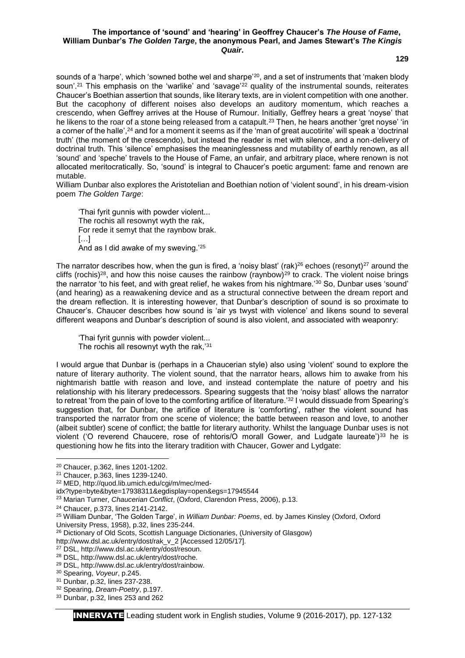#### **The importance of 'sound' and 'hearing' in Geoffrey Chaucer's** *The House of Fame***, William Dunbar's** *The Golden Targe***, the anonymous Pearl, and James Stewart's** *The Kingis Quair***.**

**129**

sounds of a 'harpe', which 'sowned bothe wel and sharpe'<sup>20</sup>, and a set of instruments that 'maken blody soun'.<sup>21</sup> This emphasis on the 'warlike' and 'savage'<sup>22</sup> quality of the instrumental sounds, reiterates Chaucer's Boethian assertion that sounds, like literary texts, are in violent competition with one another. But the cacophony of different noises also develops an auditory momentum, which reaches a crescendo, when Geffrey arrives at the House of Rumour. Initially, Geffrey hears a great 'noyse' that he likens to the roar of a stone being released from a catapult.<sup>23</sup> Then, he hears another 'gret noyse' 'in a corner of the halle',<sup>24</sup> and for a moment it seems as if the 'man of great aucotirite' will speak a 'doctrinal truth' (the moment of the crescendo), but instead the reader is met with silence, and a non-delivery of doctrinal truth. This 'silence' emphasises the meaninglessness and mutability of earthly renown, as all 'sound' and 'speche' travels to the House of Fame, an unfair, and arbitrary place, where renown is not allocated meritocratically. So, 'sound' is integral to Chaucer's poetic argument: fame and renown are mutable.

William Dunbar also explores the Aristotelian and Boethian notion of 'violent sound', in his dream-vision poem *The Golden Targe*:

'Thai fyrit gunnis with powder violent... The rochis all resownyt wyth the rak, For rede it semyt that the raynbow brak.  $[...]$ And as I did awake of my sweving.'<sup>25</sup>

The narrator describes how, when the gun is fired, a 'noisy blast' (rak)<sup>26</sup> echoes (resonyt)<sup>27</sup> around the cliffs (rochis)<sup>28</sup>, and how this noise causes the rainbow (raynbow)<sup>29</sup> to crack. The violent noise brings the narrator 'to his feet, and with great relief, he wakes from his nightmare.'<sup>30</sup> So, Dunbar uses 'sound' (and hearing) as a reawakening device and as a structural connective between the dream report and the dream reflection. It is interesting however, that Dunbar's description of sound is so proximate to Chaucer's. Chaucer describes how sound is 'air ys twyst with violence' and likens sound to several different weapons and Dunbar's description of sound is also violent, and associated with weaponry:

'Thai fyrit gunnis with powder violent... The rochis all resownyt wyth the rak.'31

I would argue that Dunbar is (perhaps in a Chaucerian style) also using 'violent' sound to explore the nature of literary authority. The violent sound, that the narrator hears, allows him to awake from his nightmarish battle with reason and love, and instead contemplate the nature of poetry and his relationship with his literary predecessors. Spearing suggests that the 'noisy blast' allows the narrator to retreat 'from the pain of love to the comforting artifice of literature.'<sup>32</sup> I would dissuade from Spearing's suggestion that, for Dunbar, the artifice of literature is 'comforting', rather the violent sound has transported the narrator from one scene of violence; the battle between reason and love, to another (albeit subtler) scene of conflict; the battle for literary authority. Whilst the language Dunbar uses is not violent ('O reverend Chaucere, rose of rehtoris/O morall Gower, and Ludgate laureate')<sup>33</sup> he is questioning how he fits into the literary tradition with Chaucer, Gower and Lydgate:

**.** 

<sup>20</sup> Chaucer, p.362, lines 1201-1202.

<sup>21</sup> Chaucer, p.363, lines 1239-1240.

<sup>22</sup> MED, http://quod.lib.umich.edu/cgi/m/mec/med-

idx?type=byte&byte=17938311&egdisplay=open&egs=17945544

<sup>23</sup> Marian Turner, *Chaucerian Conflict*, (Oxford, Clarendon Press, 2006), p.13.

<sup>24</sup> Chaucer, p.373, lines 2141-2142.

<sup>25</sup> William Dunbar, 'The Golden Targe', in *William Dunbar: Poems*, ed. by James Kinsley (Oxford, Oxford University Press, 1958), p.32, lines 235-244.

<sup>26</sup> Dictionary of Old Scots, Scottish Language Dictionaries, (University of Glasgow)

http://www.dsl.ac.uk/entry/dost/rak\_v\_2 [Accessed 12/05/17].

<sup>27</sup> DSL, http://www.dsl.ac.uk/entry/dost/resoun.

<sup>28</sup> DSL, http://www.dsl.ac.uk/entry/dost/roche.

<sup>29</sup> DSL, http://www.dsl.ac.uk/entry/dost/rainbow.

<sup>30</sup> Spearing, *Voyeur*, p.245.

<sup>31</sup> Dunbar, p.32, lines 237-238.

<sup>32</sup> Spearing, *Dream-Poetry*, p.197.

<sup>33</sup> Dunbar, p.32, lines 253 and 262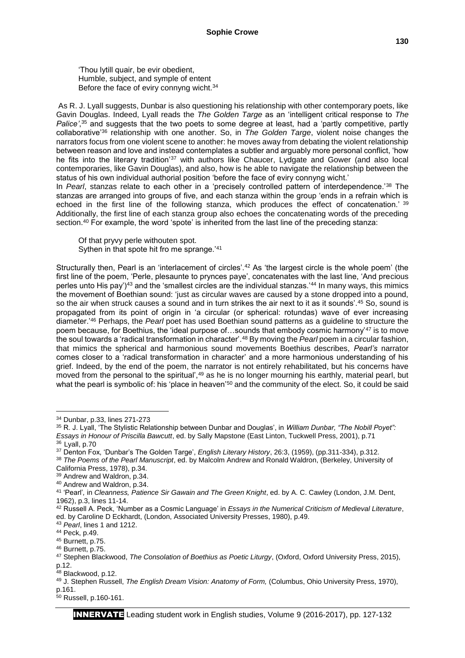'Thou lytill quair, be evir obedient, Humble, subject, and symple of entent Before the face of eviry connyng wicht.<sup>34</sup>

As R. J. Lyall suggests, Dunbar is also questioning his relationship with other contemporary poets, like Gavin Douglas. Indeed, Lyall reads the *The Golden Targe* as an 'intelligent critical response to *The Palice'*, <sup>35</sup> and suggests that the two poets to some degree at least, had a 'partly competitive, partly collaborative'<sup>36</sup> relationship with one another. So, in *The Golden Targe*, violent noise changes the narrators focus from one violent scene to another: he moves away from debating the violent relationship between reason and love and instead contemplates a subtler and arguably more personal conflict, 'how he fits into the literary tradition<sup>'37</sup> with authors like Chaucer, Lydgate and Gower (and also local contemporaries, like Gavin Douglas), and also, how is he able to navigate the relationship between the status of his own individual authorial position 'before the face of eviry connyng wicht.'

In *Pearl*, stanzas relate to each other in a 'precisely controlled pattern of interdependence.'<sup>38</sup> The stanzas are arranged into groups of five, and each stanza within the group 'ends in a refrain which is echoed in the first line of the following stanza, which produces the effect of concatenation.' <sup>39</sup> Additionally, the first line of each stanza group also echoes the concatenating words of the preceding section.<sup>40</sup> For example, the word 'spote' is inherited from the last line of the preceding stanza:

Of that pryvy perle withouten spot. Sythen in that spote hit fro me sprange.'<sup>41</sup>

Structurally then, Pearl is an 'interlacement of circles'.<sup>42</sup> As 'the largest circle is the whole poem' (the first line of the poem, 'Perle, plesaunte to prynces paye', concatenates with the last line, 'And precious perles unto His pay')<sup>43</sup> and the 'smallest circles are the individual stanzas.'<sup>44</sup> In many ways, this mimics the movement of Boethian sound: 'just as circular waves are caused by a stone dropped into a pound, so the air when struck causes a sound and in turn strikes the air next to it as it sounds'.<sup>45</sup> So, sound is propagated from its point of origin in 'a circular (or spherical: rotundas) wave of ever increasing diameter.'<sup>46</sup> Perhaps, the *Pearl* poet has used Boethian sound patterns as a guideline to structure the poem because, for Boethius, the 'ideal purpose of…sounds that embody cosmic harmony'<sup>47</sup> is to move the soul towards a 'radical transformation in character'.<sup>48</sup> By moving the *Pearl* poem in a circular fashion, that mimics the spherical and harmonious sound movements Boethius describes, *Pearl's* narrator comes closer to a 'radical transformation in character' and a more harmonious understanding of his grief. Indeed, by the end of the poem, the narrator is not entirely rehabilitated, but his concerns have moved from the personal to the spiritual',<sup>49</sup> as he is no longer mourning his earthly, material pearl, but what the pearl is symbolic of: his 'place in heaven'<sup>50</sup> and the community of the elect. So, it could be said

1

<sup>39</sup> Andrew and Waldron, p.34.

48 Blackwood, p.12.

<sup>34</sup> Dunbar, p.33, lines 271-273

<sup>35</sup> R. J. Lyall, 'The Stylistic Relationship between Dunbar and Douglas', in *William Dunbar, "The Nobill Poyet": Essays in Honour of Priscilla Bawcutt*, ed. by Sally Mapstone (East Linton, Tuckwell Press, 2001), p.71

<sup>36</sup> Lyall, p.70

<sup>37</sup> Denton Fox, 'Dunbar's The Golden Targe', *English Literary History*, 26:3, (1959), (pp.311-334), p.312.

<sup>38</sup> *The Poems of the Pearl Manuscript*, ed. by Malcolm Andrew and Ronald Waldron, (Berkeley, University of California Press, 1978), p.34.

<sup>40</sup> Andrew and Waldron, p.34.

<sup>41</sup> 'Pearl'*,* in *Cleanness, Patience Sir Gawain and The Green Knight*, ed. by A. C. Cawley (London, J.M. Dent, 1962), p.3, lines 11-14.

<sup>42</sup> Russell A. Peck, 'Number as a Cosmic Language' in *Essays in the Numerical Criticism of Medieval Literature*, ed. by Caroline D Eckhardt, (London, Associated University Presses, 1980), p.49.

<sup>43</sup> *Pearl*, lines 1 and 1212.

<sup>44</sup> Peck, p.49.

<sup>45</sup> Burnett, p.75.

<sup>46</sup> Burnett, p.75.

<sup>47</sup> Stephen Blackwood, *The Consolation of Boethius as Poetic Liturgy*, (Oxford, Oxford University Press, 2015), p.12.

<sup>49</sup> J. Stephen Russell, *The English Dream Vision: Anatomy of Form,* (Columbus, Ohio University Press, 1970), p.161.

<sup>50</sup> Russell, p.160-161.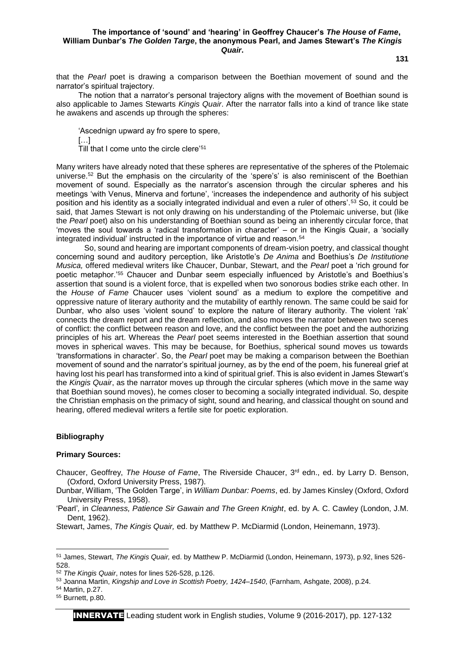#### **The importance of 'sound' and 'hearing' in Geoffrey Chaucer's** *The House of Fame***, William Dunbar's** *The Golden Targe***, the anonymous Pearl, and James Stewart's** *The Kingis Quair***.**

that the *Pearl* poet is drawing a comparison between the Boethian movement of sound and the narrator's spiritual trajectory.

The notion that a narrator's personal trajectory aligns with the movement of Boethian sound is also applicable to James Stewarts *Kingis Quair*. After the narrator falls into a kind of trance like state he awakens and ascends up through the spheres:

'Ascednign upward ay fro spere to spere, […] Till that I come unto the circle clere'<sup>51</sup>

Many writers have already noted that these spheres are representative of the spheres of the Ptolemaic universe.<sup>52</sup> But the emphasis on the circularity of the 'spere's' is also reminiscent of the Boethian movement of sound. Especially as the narrator's ascension through the circular spheres and his meetings 'with Venus, Minerva and fortune', 'increases the independence and authority of his subject position and his identity as a socially integrated individual and even a ruler of others'.<sup>53</sup> So, it could be said, that James Stewart is not only drawing on his understanding of the Ptolemaic universe, but (like the *Pearl* poet) also on his understanding of Boethian sound as being an inherently circular force, that 'moves the soul towards a 'radical transformation in character' – or in the Kingis Quair, a 'socially integrated individual' instructed in the importance of virtue and reason.<sup>54</sup>

So, sound and hearing are important components of dream-vision poetry, and classical thought concerning sound and auditory perception, like Aristotle's *De Anima* and Boethius's *De Institutione Musica,* offered medieval writers like Chaucer, Dunbar, Stewart, and the *Pearl* poet a 'rich ground for poetic metaphor.'<sup>55</sup> Chaucer and Dunbar seem especially influenced by Aristotle's and Boethius's assertion that sound is a violent force, that is expelled when two sonorous bodies strike each other. In the *House of Fame* Chaucer uses 'violent sound' as a medium to explore the competitive and oppressive nature of literary authority and the mutability of earthly renown. The same could be said for Dunbar, who also uses 'violent sound' to explore the nature of literary authority. The violent 'rak' connects the dream report and the dream reflection, and also moves the narrator between two scenes of conflict: the conflict between reason and love, and the conflict between the poet and the authorizing principles of his art. Whereas the *Pearl* poet seems interested in the Boethian assertion that sound moves in spherical waves. This may be because, for Boethius, spherical sound moves us towards 'transformations in character'. So, the *Pearl* poet may be making a comparison between the Boethian movement of sound and the narrator's spiritual journey, as by the end of the poem, his funereal grief at having lost his pearl has transformed into a kind of spiritual grief. This is also evident in James Stewart's the *Kingis Quair*, as the narrator moves up through the circular spheres (which move in the same way that Boethian sound moves), he comes closer to becoming a socially integrated individual. So, despite the Christian emphasis on the primacy of sight, sound and hearing, and classical thought on sound and hearing, offered medieval writers a fertile site for poetic exploration.

#### **Bibliography**

#### **Primary Sources:**

Chaucer, Geoffrey, *The House of Fame*, The Riverside Chaucer, 3rd edn., ed. by Larry D. Benson, (Oxford, Oxford University Press, 1987).

Dunbar, William, 'The Golden Targe', in *William Dunbar: Poems*, ed. by James Kinsley (Oxford, Oxford University Press, 1958).

'Pearl'*,* in *Cleanness, Patience Sir Gawain and The Green Knight*, ed. by A. C. Cawley (London, J.M. Dent, 1962).

Stewart, James, *The Kingis Quair,* ed. by Matthew P. McDiarmid (London, Heinemann, 1973).

 $\overline{a}$ 

**131**

<sup>51</sup> James, Stewart, *The Kingis Quair,* ed. by Matthew P. McDiarmid (London, Heinemann, 1973), p.92, lines 526- 528.

<sup>52</sup> *The Kingis Quair*, notes for lines 526-528, p.126.

<sup>53</sup> Joanna Martin, *Kingship and Love in Scottish Poetry, 1424–1540*, (Farnham, Ashgate, 2008), p.24.

<sup>54</sup> Martin, p.27.

<sup>55</sup> Burnett, p.80.